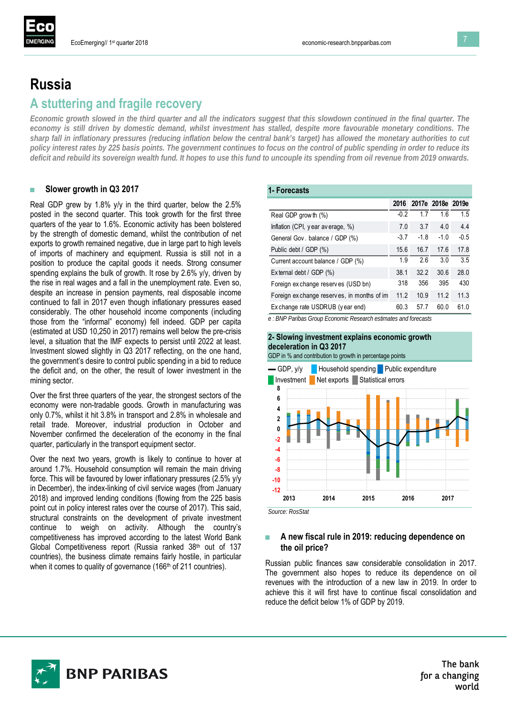# **Russia A stuttering and fragile recovery**

*Economic growth slowed in the third quarter and all the indicators suggest that this slowdown continued in the final quarter. The economy is still driven by domestic demand, whilst investment has stalled, despite more favourable monetary conditions. The sharp fall in inflationary pressures (reducing inflation below the central bank's target) has allowed the monetary authorities to cut policy interest rates by 225 basis points. The government continues to focus on the control of public spending in order to reduce its deficit and rebuild its sovereign wealth fund. It hopes to use this fund to uncouple its spending from oil revenue from 2019 onwards.*

## **■ Slower growth in Q3 2017**

Real GDP grew by 1.8% y/y in the third quarter, below the 2.5% posted in the second quarter. This took growth for the first three quarters of the year to 1.6%. Economic activity has been bolstered by the strength of domestic demand, whilst the contribution of net exports to growth remained negative, due in large part to high levels of imports of machinery and equipment. Russia is still not in a position to produce the capital goods it needs. Strong consumer spending explains the bulk of growth. It rose by 2.6% y/y, driven by the rise in real wages and a fall in the unemployment rate. Even so, despite an increase in pension payments, real disposable income continued to fall in 2017 even though inflationary pressures eased considerably. The other household income components (including those from the "informal" economy) fell indeed. GDP per capita (estimated at USD 10,250 in 2017) remains well below the pre-crisis level, a situation that the IMF expects to persist until 2022 at least. Investment slowed slightly in Q3 2017 reflecting, on the one hand, the government's desire to control public spending in a bid to reduce the deficit and, on the other, the result of lower investment in the mining sector.

Over the first three quarters of the year, the strongest sectors of the economy were non-tradable goods. Growth in manufacturing was only 0.7%, whilst it hit 3.8% in transport and 2.8% in wholesale and retail trade. Moreover, industrial production in October and November confirmed the deceleration of the economy in the final quarter, particularly in the transport equipment sector.

Over the next two years, growth is likely to continue to hover at around 1.7%. Household consumption will remain the main driving force. This will be favoured by lower inflationary pressures (2.5% y/y in December), the index-linking of civil service wages (from January 2018) and improved lending conditions (flowing from the 225 basis point cut in policy interest rates over the course of 2017). This said, structural constraints on the development of private investment continue to weigh on activity. Although the country's competitiveness has improved according to the latest World Bank Global Competitiveness report (Russia ranked 38<sup>th</sup> out of 137 countries), the business climate remains fairly hostile, in particular when it comes to quality of governance (166<sup>th</sup> of 211 countries).

# **1- Forecasts**

|                                             |        | 2016 2017e 2018e 2019e |        |        |
|---------------------------------------------|--------|------------------------|--------|--------|
| Real GDP grow th (%)                        | $-0.2$ | 1.7                    | 16     | 1.5    |
| Inflation (CPI, year average, $\%$ )        | 7.0    | 3.7                    | 4.0    | 4.4    |
| General Gov. balance / GDP (%)              | $-3.7$ | $-1.8$                 | $-1.0$ | $-0.5$ |
| Public debt / GDP (%)                       | 156    | 16.7                   | 17.6   | 17.8   |
| Current account balance / GDP (%)           | 1.9    | 26                     | 3.0    | 3.5    |
| External debt / GDP (%)                     | 38.1   | 32.2                   | 30.6   | 28.0   |
| Foreign exchange reserves (USD bn)          | 318    | 356                    | 395    | 430    |
| Foreign ex change reserves, in months of im | 11.2   | 10.9                   | 11.2   | 11.3   |
| Exchange rate USDRUB (year end)             | 60.3   | 57.7                   | 60.0   | 61.0   |

*e : BNP Paribas Group Economic Research estimates and forecasts*

#### **2- Slowing investment explains economic growth deceleration in Q3 2017**





*Source: RosStat*

### **■ A new fiscal rule in 2019: reducing dependence on the oil price?**

Russian public finances saw considerable consolidation in 2017. The government also hopes to reduce its dependence on oil revenues with the introduction of a new law in 2019. In order to achieve this it will first have to continue fiscal consolidation and reduce the deficit below 1% of GDP by 2019.



The bank for a changing world